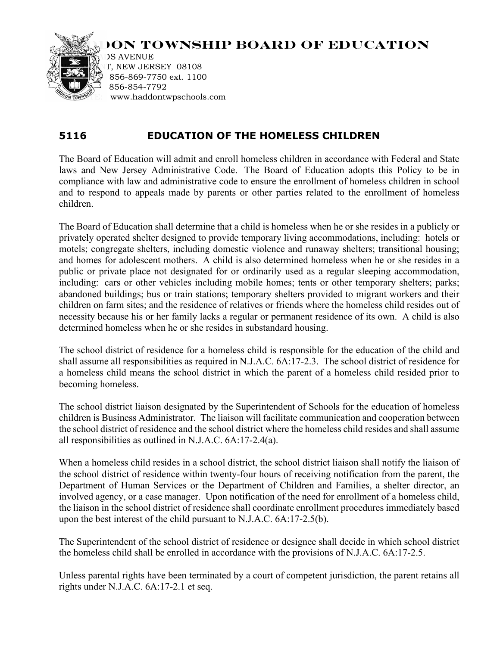

## **ION TOWNSHIP BOARD OF EDUCATION**

**DS AVENUE** T, NEW JERSEY 08108 856-869-7750 ext. 1100 856-854-7792 www.haddontwpschools.com

## **5116 EDUCATION OF THE HOMELESS CHILDREN**

The Board of Education will admit and enroll homeless children in accordance with Federal and State laws and New Jersey Administrative Code. The Board of Education adopts this Policy to be in compliance with law and administrative code to ensure the enrollment of homeless children in school and to respond to appeals made by parents or other parties related to the enrollment of homeless children.

The Board of Education shall determine that a child is homeless when he or she resides in a publicly or privately operated shelter designed to provide temporary living accommodations, including: hotels or motels; congregate shelters, including domestic violence and runaway shelters; transitional housing; and homes for adolescent mothers. A child is also determined homeless when he or she resides in a public or private place not designated for or ordinarily used as a regular sleeping accommodation, including: cars or other vehicles including mobile homes; tents or other temporary shelters; parks; abandoned buildings; bus or train stations; temporary shelters provided to migrant workers and their children on farm sites; and the residence of relatives or friends where the homeless child resides out of necessity because his or her family lacks a regular or permanent residence of its own. A child is also determined homeless when he or she resides in substandard housing.

The school district of residence for a homeless child is responsible for the education of the child and shall assume all responsibilities as required in N.J.A.C. 6A:17-2.3. The school district of residence for a homeless child means the school district in which the parent of a homeless child resided prior to becoming homeless.

The school district liaison designated by the Superintendent of Schools for the education of homeless children is Business Administrator. The liaison will facilitate communication and cooperation between the school district of residence and the school district where the homeless child resides and shall assume all responsibilities as outlined in N.J.A.C. 6A:17-2.4(a).

When a homeless child resides in a school district, the school district liaison shall notify the liaison of the school district of residence within twenty-four hours of receiving notification from the parent, the Department of Human Services or the Department of Children and Families, a shelter director, an involved agency, or a case manager. Upon notification of the need for enrollment of a homeless child, the liaison in the school district of residence shall coordinate enrollment procedures immediately based upon the best interest of the child pursuant to N.J.A.C. 6A:17-2.5(b).

The Superintendent of the school district of residence or designee shall decide in which school district the homeless child shall be enrolled in accordance with the provisions of N.J.A.C. 6A:17-2.5.

Unless parental rights have been terminated by a court of competent jurisdiction, the parent retains all rights under N.J.A.C. 6A:17-2.1 et seq.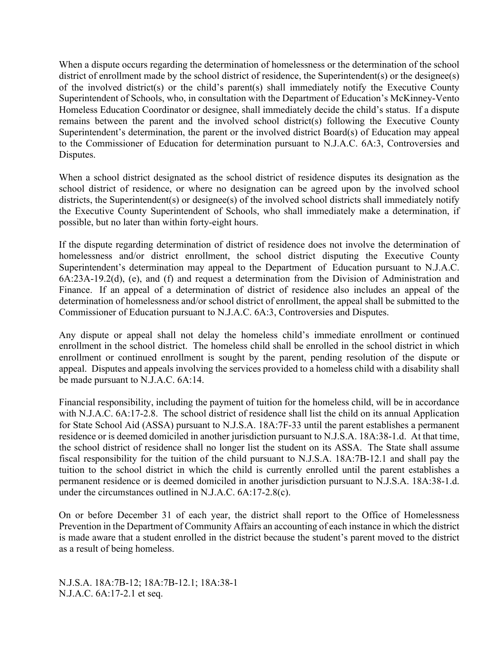When a dispute occurs regarding the determination of homelessness or the determination of the school district of enrollment made by the school district of residence, the Superintendent(s) or the designee(s) of the involved district(s) or the child's parent(s) shall immediately notify the Executive County Superintendent of Schools, who, in consultation with the Department of Education's McKinney-Vento Homeless Education Coordinator or designee, shall immediately decide the child's status. If a dispute remains between the parent and the involved school district(s) following the Executive County Superintendent's determination, the parent or the involved district Board(s) of Education may appeal to the Commissioner of Education for determination pursuant to N.J.A.C. 6A:3, Controversies and Disputes.

When a school district designated as the school district of residence disputes its designation as the school district of residence, or where no designation can be agreed upon by the involved school districts, the Superintendent(s) or designee(s) of the involved school districts shall immediately notify the Executive County Superintendent of Schools, who shall immediately make a determination, if possible, but no later than within forty-eight hours.

If the dispute regarding determination of district of residence does not involve the determination of homelessness and/or district enrollment, the school district disputing the Executive County Superintendent's determination may appeal to the Department of Education pursuant to N.J.A.C. 6A:23A-19.2(d), (e), and (f) and request a determination from the Division of Administration and Finance. If an appeal of a determination of district of residence also includes an appeal of the determination of homelessness and/or school district of enrollment, the appeal shall be submitted to the Commissioner of Education pursuant to N.J.A.C. 6A:3, Controversies and Disputes.

Any dispute or appeal shall not delay the homeless child's immediate enrollment or continued enrollment in the school district. The homeless child shall be enrolled in the school district in which enrollment or continued enrollment is sought by the parent, pending resolution of the dispute or appeal. Disputes and appeals involving the services provided to a homeless child with a disability shall be made pursuant to N.J.A.C. 6A:14.

Financial responsibility, including the payment of tuition for the homeless child, will be in accordance with N.J.A.C. 6A:17-2.8. The school district of residence shall list the child on its annual Application for State School Aid (ASSA) pursuant to N.J.S.A. 18A:7F-33 until the parent establishes a permanent residence or is deemed domiciled in another jurisdiction pursuant to N.J.S.A. 18A:38-1.d. At that time, the school district of residence shall no longer list the student on its ASSA. The State shall assume fiscal responsibility for the tuition of the child pursuant to N.J.S.A. 18A:7B-12.1 and shall pay the tuition to the school district in which the child is currently enrolled until the parent establishes a permanent residence or is deemed domiciled in another jurisdiction pursuant to N.J.S.A. 18A:38-1.d. under the circumstances outlined in N.J.A.C. 6A:17-2.8(c).

On or before December 31 of each year, the district shall report to the Office of Homelessness Prevention in the Department of Community Affairs an accounting of each instance in which the district is made aware that a student enrolled in the district because the student's parent moved to the district as a result of being homeless.

N.J.S.A. 18A:7B-12; 18A:7B-12.1; 18A:38-1 N.J.A.C. 6A:17-2.1 et seq.